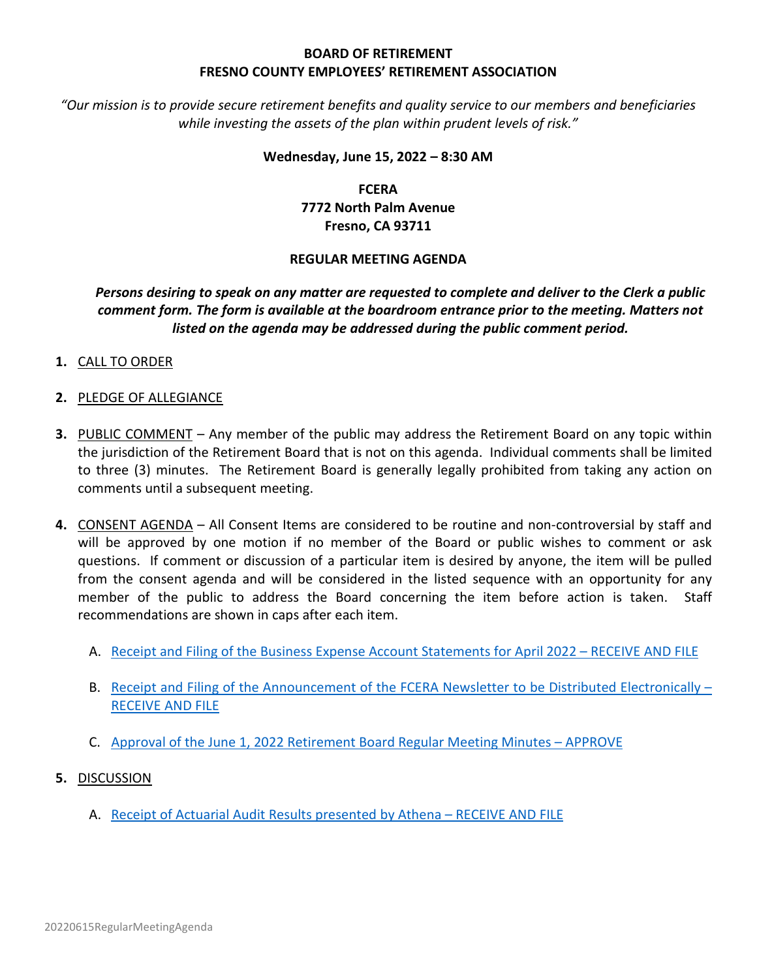# **BOARD OF RETIREMENT FRESNO COUNTY EMPLOYEES' RETIREMENT ASSOCIATION**

*"Our mission is to provide secure retirement benefits and quality service to our members and beneficiaries while investing the assets of the plan within prudent levels of risk."*

#### **Wednesday, June 15, 2022 – 8:30 AM**

**FCERA 7772 North Palm Avenue Fresno, CA 93711**

## **REGULAR MEETING AGENDA**

# *Persons desiring to speak on any matter are requested to complete and deliver to the Clerk a public comment form. The form is available at the boardroom entrance prior to the meeting. Matters not listed on the agenda may be addressed during the public comment period.*

- **1.** CALL TO ORDER
- **2.** PLEDGE OF ALLEGIANCE
- **3.** PUBLIC COMMENT Any member of the public may address the Retirement Board on any topic within the jurisdiction of the Retirement Board that is not on this agenda. Individual comments shall be limited to three (3) minutes. The Retirement Board is generally legally prohibited from taking any action on comments until a subsequent meeting.
- **4.** CONSENT AGENDA All Consent Items are considered to be routine and non-controversial by staff and will be approved by one motion if no member of the Board or public wishes to comment or ask questions. If comment or discussion of a particular item is desired by anyone, the item will be pulled from the consent agenda and will be considered in the listed sequence with an opportunity for any member of the public to address the Board concerning the item before action is taken. Staff recommendations are shown in caps after each item.
	- A. [Receipt and Filing of the Business Expense Account Statements for](http://www2.co.fresno.ca.us/9200/Attachments/Agendas/2022/20220615/20220615-4A-BusinessExpenseAccountStatementAPRIL2022-0BLT.pdf) April 2022 RECEIVE AND FILE
	- B. [Receipt and Filing of the Announcement of the FCERA Newsletter to be Distributed Electronically –](http://www2.co.fresno.ca.us/9200/Attachments/Agendas/2022/20220615/20220615-4B-ElectronicNewsletterAnnouncement.pdf) [RECEIVE AND FILE](http://www2.co.fresno.ca.us/9200/Attachments/Agendas/2022/20220615/20220615-4B-ElectronicNewsletterAnnouncement.pdf)
	- C. Approval of the June 1, 2022 [Retirement Board Regular Meeting Minutes –](http://www2.co.fresno.ca.us/9200/Attachments/Agendas/2022/20220615/20220615-4C-20220601RegularMeetingMinutes.pdf) APPROVE
- **5.** DISCUSSION
	- A. Receipt [of Actuarial Audit Results](http://www2.co.fresno.ca.us/9200/Attachments/Agendas/2022/20220615/20220615-5A-AthenaActuarialAuditReport-Compiled.pdf) presented by Athena RECEIVE AND FILE